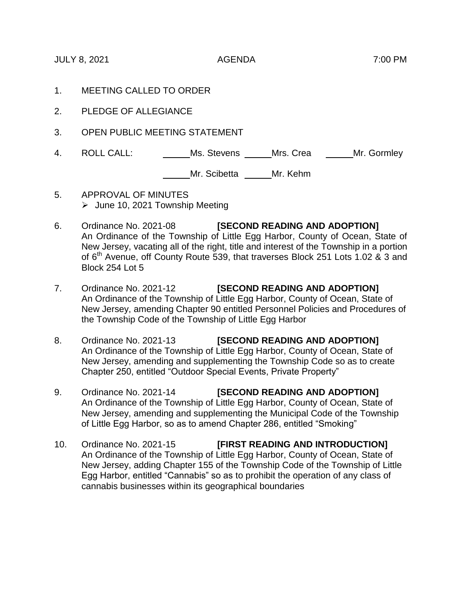JULY 8, 2021 AGENDA 7:00 PM

- 1. MEETING CALLED TO ORDER
- 2. PLEDGE OF ALLEGIANCE
- 3. OPEN PUBLIC MEETING STATEMENT
- 4. ROLL CALL: Ms. Stevens Mrs. Crea Mr. Gormley

Mr. Scibetta Mr. Kehm

- 5. APPROVAL OF MINUTES  $\blacktriangleright$  June 10, 2021 Township Meeting
- 6. Ordinance No. 2021-08 **[SECOND READING AND ADOPTION]** An Ordinance of the Township of Little Egg Harbor, County of Ocean, State of New Jersey, vacating all of the right, title and interest of the Township in a portion of 6<sup>th</sup> Avenue, off County Route 539, that traverses Block 251 Lots 1.02 & 3 and Block 254 Lot 5
- 7. Ordinance No. 2021-12 **[SECOND READING AND ADOPTION]** An Ordinance of the Township of Little Egg Harbor, County of Ocean, State of New Jersey, amending Chapter 90 entitled Personnel Policies and Procedures of the Township Code of the Township of Little Egg Harbor
- 8. Ordinance No. 2021-13 **[SECOND READING AND ADOPTION]** An Ordinance of the Township of Little Egg Harbor, County of Ocean, State of New Jersey, amending and supplementing the Township Code so as to create Chapter 250, entitled "Outdoor Special Events, Private Property"
- 9. Ordinance No. 2021-14 **[SECOND READING AND ADOPTION]** An Ordinance of the Township of Little Egg Harbor, County of Ocean, State of New Jersey, amending and supplementing the Municipal Code of the Township of Little Egg Harbor, so as to amend Chapter 286, entitled "Smoking"
- 10. Ordinance No. 2021-15 **[FIRST READING AND INTRODUCTION]** An Ordinance of the Township of Little Egg Harbor, County of Ocean, State of New Jersey, adding Chapter 155 of the Township Code of the Township of Little Egg Harbor, entitled "Cannabis" so as to prohibit the operation of any class of cannabis businesses within its geographical boundaries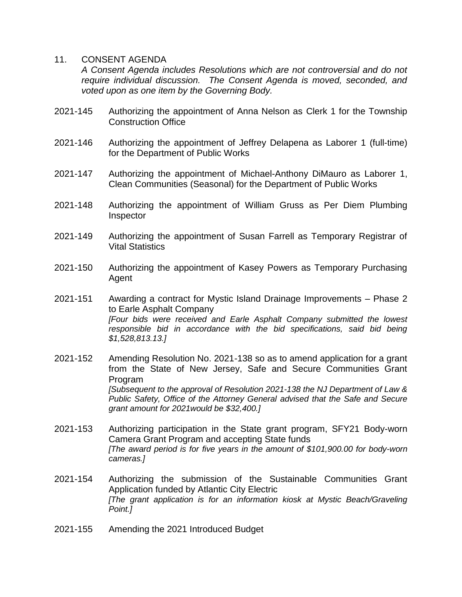## 11. CONSENT AGENDA

*A Consent Agenda includes Resolutions which are not controversial and do not require individual discussion. The Consent Agenda is moved, seconded, and voted upon as one item by the Governing Body.* 

- 2021-145 Authorizing the appointment of Anna Nelson as Clerk 1 for the Township Construction Office
- 2021-146 Authorizing the appointment of Jeffrey Delapena as Laborer 1 (full-time) for the Department of Public Works
- 2021-147 Authorizing the appointment of Michael-Anthony DiMauro as Laborer 1, Clean Communities (Seasonal) for the Department of Public Works
- 2021-148 Authorizing the appointment of William Gruss as Per Diem Plumbing Inspector
- 2021-149 Authorizing the appointment of Susan Farrell as Temporary Registrar of Vital Statistics
- 2021-150 Authorizing the appointment of Kasey Powers as Temporary Purchasing Agent
- 2021-151 Awarding a contract for Mystic Island Drainage Improvements Phase 2 to Earle Asphalt Company *[Four bids were received and Earle Asphalt Company submitted the lowest responsible bid in accordance with the bid specifications, said bid being \$1,528,813.13.]*
- 2021-152 Amending Resolution No. 2021-138 so as to amend application for a grant from the State of New Jersey, Safe and Secure Communities Grant Program *[Subsequent to the approval of Resolution 2021-138 the NJ Department of Law & Public Safety, Office of the Attorney General advised that the Safe and Secure grant amount for 2021would be \$32,400.]*
- 2021-153 Authorizing participation in the State grant program, SFY21 Body-worn Camera Grant Program and accepting State funds *[The award period is for five years in the amount of \$101,900.00 for body-worn cameras.]*
- 2021-154 Authorizing the submission of the Sustainable Communities Grant Application funded by Atlantic City Electric *[The grant application is for an information kiosk at Mystic Beach/Graveling Point.]*
- 2021-155 Amending the 2021 Introduced Budget